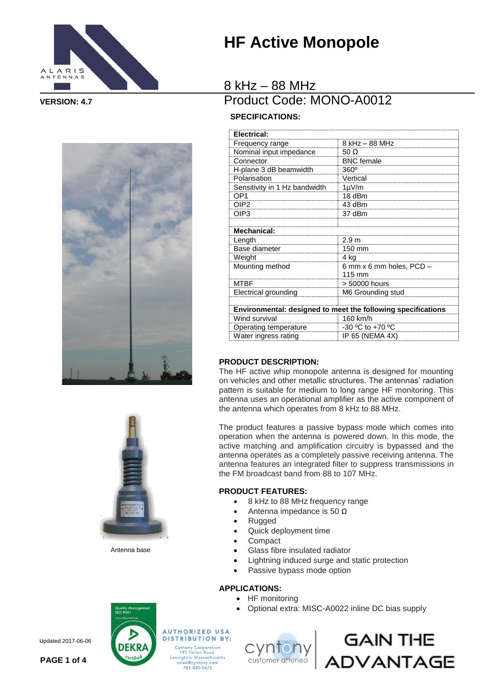





Antenna base

# **HF Active Monopole**

### 8 kHz – 88 MHz **VERSION: 4.7** Product Code: MONO-A0012

### **SPECIFICATIONS:**

| Electrical:                                                  |                          |
|--------------------------------------------------------------|--------------------------|
| Frequency range                                              | 8 kHz - 88 MHz           |
| Nominal input impedance                                      | $50 \Omega$              |
| Connector                                                    | <b>BNC</b> female        |
| H-plane 3 dB beamwidth                                       | $360^\circ$              |
| Polarisation                                                 | Vertical                 |
| Sensitivity in 1 Hz bandwidth                                | $1 \mu V/m$              |
| OP <sub>1</sub>                                              | 18 dBm                   |
| OIP <sub>2</sub>                                             | 43 dBm                   |
| OIP3                                                         | 37 dBm                   |
|                                                              |                          |
| <b>Mechanical:</b>                                           |                          |
| Length                                                       | 2.9 <sub>m</sub>         |
| Base diameter                                                | 150 mm                   |
| Weight                                                       | 4 kg                     |
| Mounting method                                              | 6 mm x 6 mm holes, PCD - |
|                                                              | 115 mm                   |
| <b>MTBF</b>                                                  | > 50000 hours            |
| Electrical grounding                                         | M6 Grounding stud        |
|                                                              |                          |
| Environmental: designed to meet the following specifications |                          |
| Wind survival                                                | 160 km/h                 |
| Operating temperature                                        | -30 °C to +70 °C         |
| Water ingress rating                                         | IP 65 (NEMA 4X)          |

#### **PRODUCT DESCRIPTION:**

The HF active whip monopole antenna is designed for mounting on vehicles and other metallic structures. The antennas' radiation pattern is suitable for medium to long range HF monitoring. This antenna uses an operational amplifier as the active component of the antenna which operates from 8 kHz to 88 MHz.

The product features a passive bypass mode which comes into operation when the antenna is powered down. In this mode, the active matching and amplification circuitry is bypassed and the antenna operates as a completely passive receiving antenna. The antenna features an integrated filter to suppress transmissions in the FM broadcast band from 88 to 107 MHz.

#### **PRODUCT FEATURES:**

- 8 kHz to 88 MHz frequency range
- Antenna impedance is 50 Ω
- Rugged
- Quick deployment time
- Compact
- Glass fibre insulated radiator
- Lightning induced surge and static protection
- Passive bypass mode option

#### **APPLICATIONS:**

- HF monitoring
- Optional extra: MISC-A0022 inline DC bias supply



**AUTHORIZED USA DISTRIBUTION BY:**<br>Cyntony Corporation<br>195 Follen Road Lexington, Massachusetts<br>sales@cyntony.com<br>781-430-0675





Updated 2017-06-06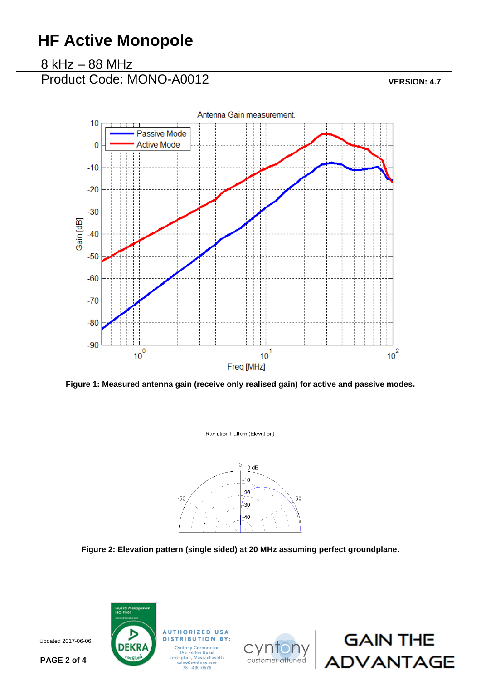# **HF Active Monopole**

8 kHz – 88 MHz

Product Code: MONO-A0012 **VERSION: 4.7** 



**Figure 1: Measured antenna gain (receive only realised gain) for active and passive modes.**

Radiation Pattern (Elevation)



**Figure 2: Elevation pattern (single sided) at 20 MHz assuming perfect groundplane.**



Updated: 02/04/2014 Updated 2017-06-06





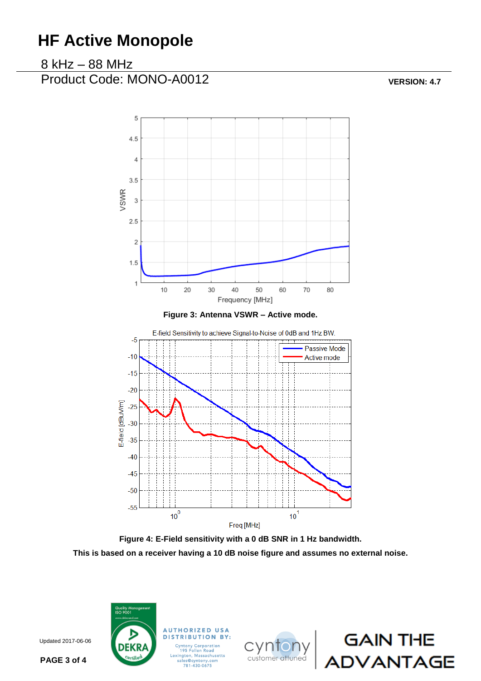# **HF Active Monopole**

### 8 kHz – 88 MHz

Product Code: MONO-A0012 **VERSION: 4.7** 



**Figure 4: E-Field sensitivity with a 0 dB SNR in 1 Hz bandwidth. This is based on a receiver having a 10 dB noise figure and assumes no external noise.**



**DISTRIBUTION BY:** 





Updated: 02/04/2014 Updated 2017-06-06